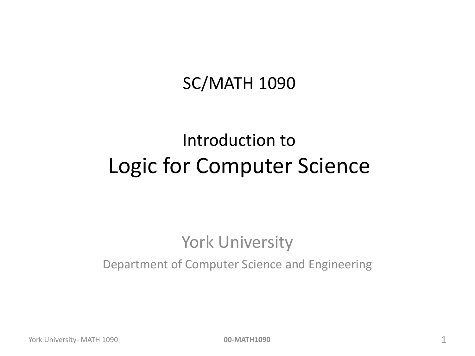#### SC/MATH 1090

#### Introduction to Logic for Computer Science

#### York University

#### Department of Computer Science and Engineering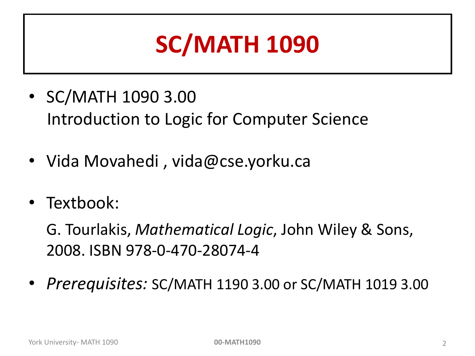## **SC/MATH 1090**

- SC/MATH 1090 3.00 Introduction to Logic for Computer Science
- Vida Movahedi , vida@cse.yorku.ca
- Textbook:

G. Tourlakis, *Mathematical Logic*, John Wiley & Sons, 2008. ISBN 978-0-470-28074-4

• *Prerequisites:* SC/MATH 1190 3.00 or SC/MATH 1019 3.00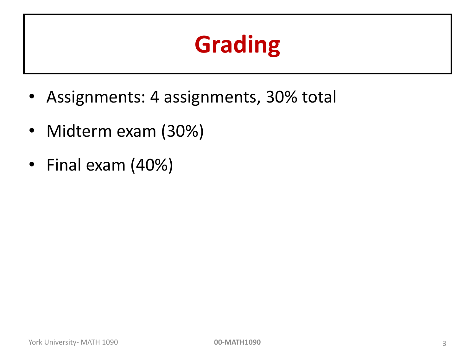## **Grading**

- Assignments: 4 assignments, 30% total
- Midterm exam (30%)
- Final exam (40%)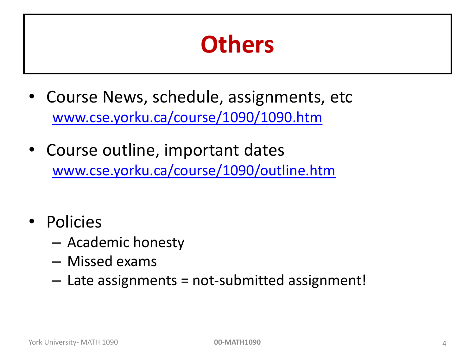#### **Others**

- Course News, schedule, assignments, etc [www.cse.yorku.ca/course/1090/1090.htm](http://www.cse.yorku.ca/course/1090/1090.htm)
- Course outline, important dates [www.cse.yorku.ca/course/1090/outline.htm](http://www.cse.yorku.ca/course/1090/outline.htm)
- Policies
	- Academic honesty
	- Missed exams
	- Late assignments = not-submitted assignment!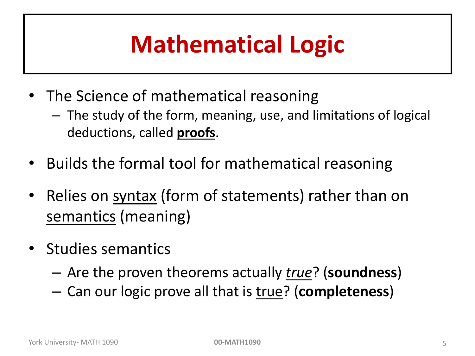# **Mathematical Logic**

- The Science of mathematical reasoning
	- The study of the form, meaning, use, and limitations of logical deductions, called **proofs**.
- Builds the formal tool for mathematical reasoning
- Relies on syntax (form of statements) rather than on semantics (meaning)
- Studies semantics
	- Are the proven theorems actually *true*? (**soundness**)
	- Can our logic prove all that is true? (**completeness**)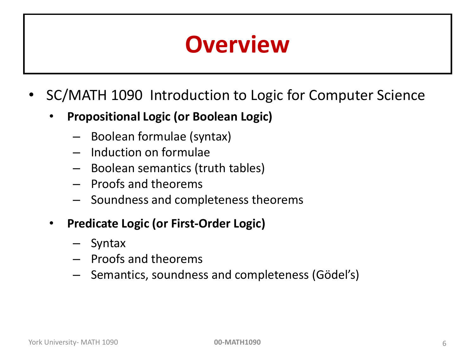#### **Overview**

- SC/MATH 1090 Introduction to Logic for Computer Science
	- **Propositional Logic (or Boolean Logic)**
		- Boolean formulae (syntax)
		- Induction on formulae
		- Boolean semantics (truth tables)
		- Proofs and theorems
		- Soundness and completeness theorems
	- **Predicate Logic (or First-Order Logic)**
		- Syntax
		- Proofs and theorems
		- Semantics, soundness and completeness (Gödel's)